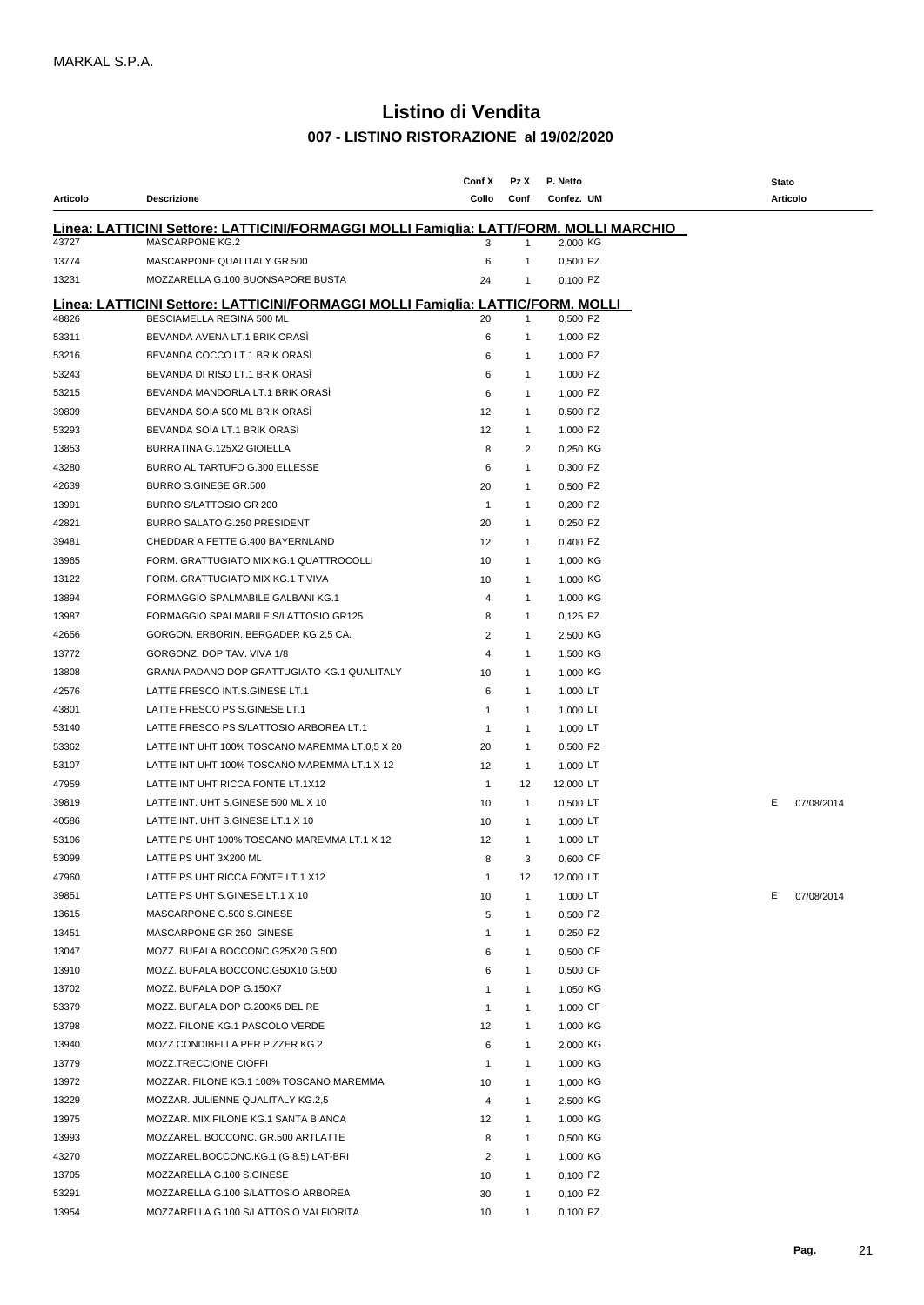## **- LISTINO RISTORAZIONE al 19/02/2020 Listino di Vendita**

|          |                                                                                               | Conf X         | Pz X           | P. Netto   | Stato |            |
|----------|-----------------------------------------------------------------------------------------------|----------------|----------------|------------|-------|------------|
| Articolo | <b>Descrizione</b>                                                                            | Collo          | Conf           | Confez. UM |       | Articolo   |
|          | <u> Linea: LATTICINI Settore: LATTICINI/FORMAGGI MOLLI Famiglia: LATT/FORM. MOLLI MARCHIO</u> |                |                |            |       |            |
| 43727    | <b>MASCARPONE KG.2</b>                                                                        | 3              | 1              | 2,000 KG   |       |            |
| 13774    | MASCARPONE QUALITALY GR.500                                                                   | 6              | -1             | 0,500 PZ   |       |            |
| 13231    | MOZZARELLA G.100 BUONSAPORE BUSTA                                                             | 24             | $\mathbf{1}$   | 0.100 PZ   |       |            |
|          | <u> Linea: LATTICINI Settore: LATTICINI/FORMAGGI MOLLI Famiglia: LATTIC/FORM. MOLLI</u>       |                |                |            |       |            |
| 48826    | BESCIAMELLA REGINA 500 ML                                                                     | 20             | $\mathbf{1}$   | 0,500 PZ   |       |            |
| 53311    | BEVANDA AVENA LT.1 BRIK ORASI                                                                 | 6              | $\mathbf{1}$   | 1,000 PZ   |       |            |
| 53216    | BEVANDA COCCO LT.1 BRIK ORASI                                                                 | 6              | $\mathbf{1}$   | 1,000 PZ   |       |            |
| 53243    | BEVANDA DI RISO LT.1 BRIK ORASI                                                               | 6              | $\mathbf{1}$   | 1,000 PZ   |       |            |
| 53215    | BEVANDA MANDORLA LT.1 BRIK ORASİ                                                              | 6              | $\mathbf{1}$   | 1,000 PZ   |       |            |
| 39809    | BEVANDA SOIA 500 ML BRIK ORASI                                                                | 12             | $\mathbf{1}$   | 0,500 PZ   |       |            |
| 53293    | BEVANDA SOIA LT.1 BRIK ORASI                                                                  | 12             | $\mathbf{1}$   | 1,000 PZ   |       |            |
| 13853    | BURRATINA G.125X2 GIOIELLA                                                                    | 8              | 2              | 0,250 KG   |       |            |
| 43280    | BURRO AL TARTUFO G.300 ELLESSE                                                                | 6              | $\mathbf{1}$   | 0,300 PZ   |       |            |
| 42639    | <b>BURRO S.GINESE GR.500</b>                                                                  | 20             | $\mathbf{1}$   | 0,500 PZ   |       |            |
| 13991    | BURRO S/LATTOSIO GR 200                                                                       | $\mathbf{1}$   | $\mathbf{1}$   | 0,200 PZ   |       |            |
| 42821    | BURRO SALATO G.250 PRESIDENT                                                                  | 20             | $\mathbf{1}$   | 0,250 PZ   |       |            |
| 39481    | CHEDDAR A FETTE G.400 BAYERNLAND                                                              | 12             | $\mathbf{1}$   | 0,400 PZ   |       |            |
| 13965    | FORM. GRATTUGIATO MIX KG.1 QUATTROCOLLI                                                       | 10             | $\mathbf{1}$   | 1,000 KG   |       |            |
| 13122    | FORM. GRATTUGIATO MIX KG.1 T.VIVA                                                             | 10             | $\mathbf{1}$   | 1,000 KG   |       |            |
| 13894    | FORMAGGIO SPALMABILE GALBANI KG.1                                                             | 4              | $\mathbf{1}$   | 1,000 KG   |       |            |
| 13987    | FORMAGGIO SPALMABILE S/LATTOSIO GR125                                                         | 8              | $\mathbf{1}$   | 0,125 PZ   |       |            |
| 42656    | GORGON. ERBORIN. BERGADER KG.2,5 CA.                                                          | 2              | $\mathbf{1}$   | 2,500 KG   |       |            |
| 13772    | GORGONZ. DOP TAV. VIVA 1/8                                                                    | 4              | $\mathbf{1}$   | 1,500 KG   |       |            |
| 13808    | GRANA PADANO DOP GRATTUGIATO KG.1 QUALITALY                                                   | 10             | $\mathbf{1}$   | 1,000 KG   |       |            |
| 42576    | LATTE FRESCO INT.S.GINESE LT.1                                                                | 6              | $\mathbf{1}$   | 1,000 LT   |       |            |
| 43801    | LATTE FRESCO PS S.GINESE LT.1                                                                 | 1              | $\mathbf{1}$   | 1,000 LT   |       |            |
| 53140    | LATTE FRESCO PS S/LATTOSIO ARBOREA LT.1                                                       | 1              | $\mathbf{1}$   | 1,000 LT   |       |            |
| 53362    | LATTE INT UHT 100% TOSCANO MAREMMA LT.0,5 X 20                                                | 20             | $\mathbf{1}$   | 0,500 PZ   |       |            |
| 53107    | LATTE INT UHT 100% TOSCANO MAREMMA LT.1 X 12                                                  | 12             | $\overline{1}$ | 1,000 LT   |       |            |
| 47959    | LATTE INT UHT RICCA FONTE LT.1X12                                                             | $\mathbf{1}$   | 12             | 12,000 LT  |       |            |
| 39819    | LATTE INT. UHT S.GINESE 500 ML X 10                                                           | 10             | $\mathbf{1}$   | $0,500$ LT | Е.    | 07/08/2014 |
| 40586    | LATTE INT. UHT S.GINESE LT.1 X 10                                                             | 10             | $\mathbf{1}$   | 1,000 LT   |       |            |
| 53106    | LATTE PS UHT 100% TOSCANO MAREMMA LT.1 X 12                                                   | 12             | $\overline{1}$ | 1,000 LT   |       |            |
| 53099    | LATTE PS UHT 3X200 ML                                                                         | 8              | 3              | 0,600 CF   |       |            |
| 47960    | LATTE PS UHT RICCA FONTE LT.1 X12                                                             | $\mathbf{1}$   | 12             | 12,000 LT  |       |            |
| 39851    | LATTE PS UHT S.GINESE LT.1 X 10                                                               | 10             | $\mathbf{1}$   | 1,000 LT   | E.    | 07/08/2014 |
| 13615    | MASCARPONE G.500 S.GINESE                                                                     | 5              | $\mathbf{1}$   | 0,500 PZ   |       |            |
| 13451    | MASCARPONE GR 250 GINESE                                                                      | $\mathbf{1}$   | $\mathbf{1}$   | 0,250 PZ   |       |            |
| 13047    | MOZZ. BUFALA BOCCONC.G25X20 G.500                                                             | 6              | $\mathbf{1}$   | 0,500 CF   |       |            |
| 13910    | MOZZ. BUFALA BOCCONC.G50X10 G.500                                                             | 6              | $\mathbf{1}$   | 0,500 CF   |       |            |
| 13702    | MOZZ. BUFALA DOP G.150X7                                                                      | $\mathbf{1}$   | $\overline{1}$ | 1,050 KG   |       |            |
| 53379    | MOZZ. BUFALA DOP G.200X5 DEL RE                                                               | $\mathbf{1}$   | $\mathbf{1}$   | 1,000 CF   |       |            |
| 13798    | MOZZ. FILONE KG.1 PASCOLO VERDE                                                               | 12             | $\mathbf{1}$   | 1,000 KG   |       |            |
| 13940    | MOZZ.CONDIBELLA PER PIZZER KG.2                                                               | 6              | $\overline{1}$ | 2,000 KG   |       |            |
| 13779    | MOZZ.TRECCIONE CIOFFI                                                                         | $\mathbf{1}$   | $\mathbf{1}$   | 1,000 KG   |       |            |
| 13972    | MOZZAR. FILONE KG.1 100% TOSCANO MAREMMA                                                      | 10             | $\mathbf{1}$   | 1,000 KG   |       |            |
| 13229    | MOZZAR. JULIENNE QUALITALY KG.2,5                                                             | 4              | $\mathbf{1}$   | 2,500 KG   |       |            |
| 13975    | MOZZAR. MIX FILONE KG.1 SANTA BIANCA                                                          | 12             | $\mathbf{1}$   | 1,000 KG   |       |            |
| 13993    | MOZZAREL. BOCCONC. GR.500 ARTLATTE                                                            | 8              | $\mathbf{1}$   | 0,500 KG   |       |            |
| 43270    | MOZZAREL.BOCCONC.KG.1 (G.8.5) LAT-BRI                                                         | $\overline{2}$ | $\mathbf{1}$   | 1,000 KG   |       |            |
| 13705    | MOZZARELLA G.100 S.GINESE                                                                     | 10             | $\mathbf{1}$   | 0,100 PZ   |       |            |
| 53291    | MOZZARELLA G.100 S/LATTOSIO ARBOREA                                                           | 30             | $\mathbf{1}$   | 0,100 PZ   |       |            |
| 13954    | MOZZARELLA G.100 S/LATTOSIO VALFIORITA                                                        | 10             | $\mathbf{1}$   | 0,100 PZ   |       |            |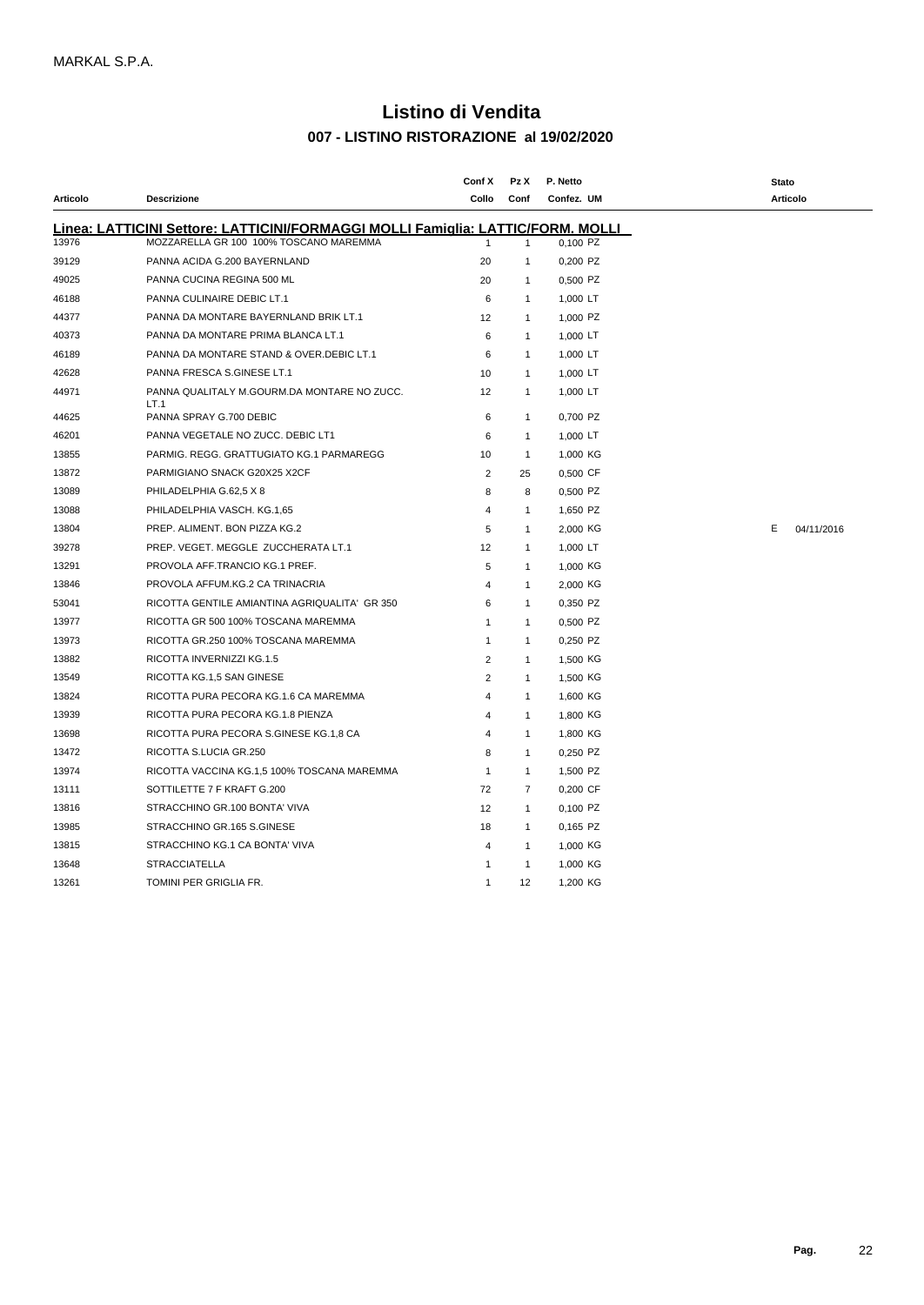## **- LISTINO RISTORAZIONE al 19/02/2020 Listino di Vendita**

| Articolo | <b>Descrizione</b>                                                                                                               | Conf X<br>Collo | Pz X<br>Conf   | P. Netto<br>Confez. UM | Stato<br>Articolo |
|----------|----------------------------------------------------------------------------------------------------------------------------------|-----------------|----------------|------------------------|-------------------|
|          |                                                                                                                                  |                 |                |                        |                   |
| 13976    | <u>Linea: LATTICINI Settore: LATTICINI/FORMAGGI MOLLI Famiglia: LATTIC/FORM. MOLLI</u><br>MOZZARELLA GR 100 100% TOSCANO MAREMMA |                 | $\mathbf{1}$   | 0,100 PZ               |                   |
| 39129    | PANNA ACIDA G.200 BAYERNLAND                                                                                                     | 20              | $\mathbf{1}$   | 0,200 PZ               |                   |
| 49025    | PANNA CUCINA REGINA 500 ML                                                                                                       | 20              | $\mathbf{1}$   | 0,500 PZ               |                   |
| 46188    | PANNA CULINAIRE DEBIC LT.1                                                                                                       | 6               | $\mathbf{1}$   | 1,000 LT               |                   |
| 44377    | PANNA DA MONTARE BAYERNLAND BRIK LT.1                                                                                            | 12              | $\mathbf{1}$   | 1,000 PZ               |                   |
| 40373    | PANNA DA MONTARE PRIMA BLANCA LT.1                                                                                               | 6               | $\mathbf{1}$   | 1,000 LT               |                   |
| 46189    | PANNA DA MONTARE STAND & OVER.DEBIC LT.1                                                                                         | 6               | $\mathbf{1}$   | 1,000 LT               |                   |
| 42628    | PANNA FRESCA S.GINESE LT.1                                                                                                       | 10              | $\mathbf{1}$   | 1,000 LT               |                   |
| 44971    | PANNA QUALITALY M.GOURM.DA MONTARE NO ZUCC.<br>LT.1                                                                              | 12              | $\mathbf{1}$   | 1,000 LT               |                   |
| 44625    | PANNA SPRAY G.700 DEBIC                                                                                                          | 6               | $\mathbf{1}$   | 0,700 PZ               |                   |
| 46201    | PANNA VEGETALE NO ZUCC. DEBIC LT1                                                                                                | 6               | $\mathbf{1}$   | 1,000 LT               |                   |
| 13855    | PARMIG. REGG. GRATTUGIATO KG.1 PARMAREGG                                                                                         | 10              | $\mathbf{1}$   | 1,000 KG               |                   |
| 13872    | PARMIGIANO SNACK G20X25 X2CF                                                                                                     | $\overline{2}$  | 25             | 0,500 CF               |                   |
| 13089    | PHILADELPHIA G.62,5 X 8                                                                                                          | 8               | 8              | 0,500 PZ               |                   |
| 13088    | PHILADELPHIA VASCH. KG.1,65                                                                                                      | 4               | $\mathbf{1}$   | 1,650 PZ               |                   |
| 13804    | PREP. ALIMENT. BON PIZZA KG.2                                                                                                    | 5               | $\mathbf{1}$   | 2,000 KG               | E.<br>04/11/2016  |
| 39278    | PREP. VEGET. MEGGLE ZUCCHERATA LT.1                                                                                              | 12              | $\mathbf{1}$   | 1,000 LT               |                   |
| 13291    | PROVOLA AFF.TRANCIO KG.1 PREF.                                                                                                   | 5               | $\mathbf{1}$   | 1,000 KG               |                   |
| 13846    | PROVOLA AFFUM.KG.2 CA TRINACRIA                                                                                                  | 4               | $\mathbf{1}$   | 2,000 KG               |                   |
| 53041    | RICOTTA GENTILE AMIANTINA AGRIQUALITA' GR 350                                                                                    | 6               | $\mathbf{1}$   | 0,350 PZ               |                   |
| 13977    | RICOTTA GR 500 100% TOSCANA MAREMMA                                                                                              | -1              | $\overline{1}$ | 0,500 PZ               |                   |
| 13973    | RICOTTA GR.250 100% TOSCANA MAREMMA                                                                                              | $\mathbf{1}$    | $\overline{1}$ | 0,250 PZ               |                   |
| 13882    | RICOTTA INVERNIZZI KG.1.5                                                                                                        | 2               | $\mathbf{1}$   | 1,500 KG               |                   |
| 13549    | RICOTTA KG.1,5 SAN GINESE                                                                                                        | 2               | $\mathbf{1}$   | 1,500 KG               |                   |
| 13824    | RICOTTA PURA PECORA KG.1.6 CA MAREMMA                                                                                            | $\overline{4}$  | $\mathbf{1}$   | 1,600 KG               |                   |
| 13939    | RICOTTA PURA PECORA KG.1.8 PIENZA                                                                                                | 4               | $\mathbf{1}$   | 1,800 KG               |                   |
| 13698    | RICOTTA PURA PECORA S.GINESE KG.1,8 CA                                                                                           | $\overline{4}$  | $\mathbf{1}$   | 1,800 KG               |                   |
| 13472    | RICOTTA S.LUCIA GR.250                                                                                                           | 8               | $\mathbf{1}$   | 0,250 PZ               |                   |
| 13974    | RICOTTA VACCINA KG.1,5 100% TOSCANA MAREMMA                                                                                      | $\mathbf{1}$    | $\overline{1}$ | 1,500 PZ               |                   |
| 13111    | SOTTILETTE 7 F KRAFT G.200                                                                                                       | 72              | $\overline{7}$ | 0,200 CF               |                   |
| 13816    | STRACCHINO GR.100 BONTA' VIVA                                                                                                    | 12              | $\mathbf{1}$   | 0,100 PZ               |                   |
| 13985    | STRACCHINO GR.165 S.GINESE                                                                                                       | 18              | $\overline{1}$ | 0,165 PZ               |                   |
| 13815    | STRACCHINO KG.1 CA BONTA' VIVA                                                                                                   | 4               | $\mathbf{1}$   | 1,000 KG               |                   |
| 13648    | <b>STRACCIATELLA</b>                                                                                                             |                 | -1             | 1,000 KG               |                   |
| 13261    | TOMINI PER GRIGLIA FR.                                                                                                           | $\mathbf{1}$    | 12             | 1,200 KG               |                   |